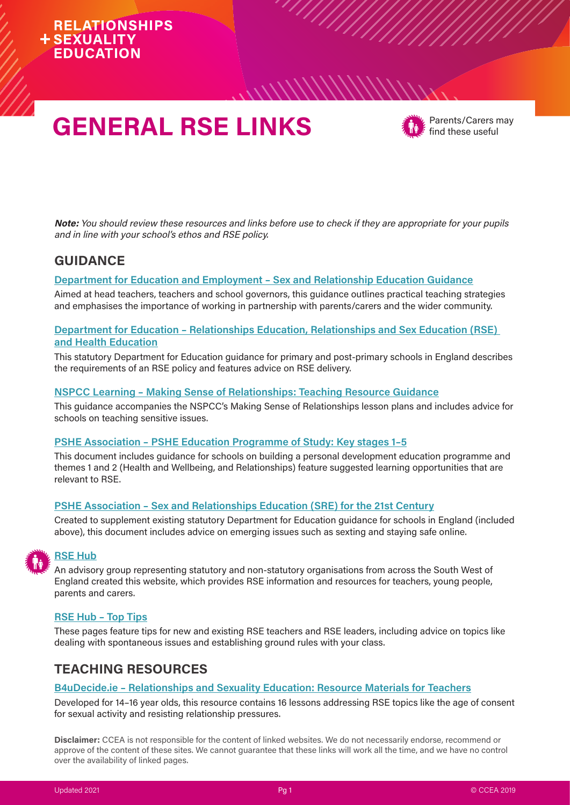# **RELATIONSHIPS +SEXUALITY FDUCATION**

# **GENERAL RSE LINKS**



Parents/Carers may find these useful

**Note:** You should review these resources and links before use to check if they are appropriate for your pupils and in line with your school's ethos and RSE policy.

 $\langle$ /////////////////

# **GUIDANCE**

#### **[Department for Education and Employment – Sex and Relationship Education Guidance](https://webarchive.nationalarchives.gov.uk/20130403224457/https:/www.education.gov.uk/publications/eOrderingDownload/DfES-0116-2000%20SRE.pdf)**

Aimed at head teachers, teachers and school governors, this guidance outlines practical teaching strategies and emphasises the importance of working in partnership with parents/carers and the wider community.

#### **[Department for Education – Relationships Education, Relationships and Sex Education \(RSE\)](https://www.gov.uk/government/publications/relationships-education-relationships-and-sex-education-rse-and-health-education)  [and Health Education](https://www.gov.uk/government/publications/relationships-education-relationships-and-sex-education-rse-and-health-education)**

This statutory Department for Education guidance for primary and post-primary schools in England describes the requirements of an RSE policy and features advice on RSE delivery.

#### **[NSPCC Learning – Making Sense of Relationships: Teaching Resource Guidance](https://learning.nspcc.org.uk/media/1411/making-sense-of-relationships_teaching-resource-guidance.pdf)**

This guidance accompanies the NSPCC's Making Sense of Relationships lesson plans and includes advice for schools on teaching sensitive issues.

#### **[PSHE Association – PSHE Education Programme of Study: Key stages 1–5](https://www.pshe-association.org.uk/curriculum-and-resources/resources/programme-study-pshe-education-key-stages-1%E2%80%935)**

This document includes guidance for schools on building a personal development education programme and themes 1 and 2 (Health and Wellbeing, and Relationships) feature suggested learning opportunities that are relevant to RSE.

#### **[PSHE Association – Sex and Relationships Education \(SRE\) for the 21st Century](https://www.pshe-association.org.uk/curriculum-and-resources/resources/sex-and-relationship-education-sre-21st-century)**

Created to supplement existing statutory Department for Education guidance for schools in England (included above), this document includes advice on emerging issues such as sexting and staying safe online.

### **[RSE Hub](http://www.rsehub.org.uk/)**

An advisory group representing statutory and non-statutory organisations from across the South West of England created this website, which provides RSE information and resources for teachers, young people, parents and carers.

#### **[RSE Hub – Top Tips](http://www.rsehub.org.uk/educators/top-tips)**

These pages feature tips for new and existing RSE teachers and RSE leaders, including advice on topics like dealing with spontaneous issues and establishing ground rules with your class.

## **TEACHING RESOURCES**

#### **[B4uDecide.ie – Relationships and Sexuality Education: Resource Materials for Teachers](https://sphe.ie/downloads/teaching_resources/b4ud.pdf)**

Developed for 14–16 year olds, this resource contains 16 lessons addressing RSE topics like the age of consent for sexual activity and resisting relationship pressures.

**Disclaimer:** CCEA is not responsible for the content of linked websites. We do not necessarily endorse, recommend or approve of the content of these sites. We cannot guarantee that these links will work all the time, and we have no control over the availability of linked pages.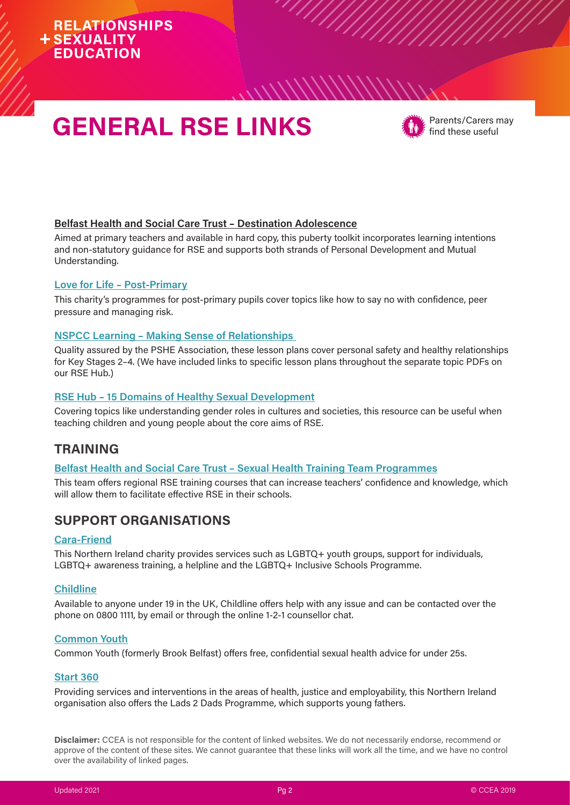# **RELATIONSHIPS +SEXUALITY FDUCATION**

# **GENERAL RSE LINKS**



Parents/Carers may find these useful

#### **Belfast Health and Social Care Trust – Destination Adolescence**

Aimed at primary teachers and available in hard copy, this puberty toolkit incorporates learning intentions and non-statutory guidance for RSE and supports both strands of Personal Development and Mutual Understanding.

 $\frac{1}{2}$ 

 $\langle$ /////////////////

#### **[Love for Life – Post-Primary](http://www.loveforlife.org.uk/sectors/teachers/post-primary/)**

This charity's programmes for post-primary pupils cover topics like how to say no with confidence, peer pressure and managing risk.

#### **[NSPCC Learning – Making Sense of Relationships](https://learning.nspcc.org.uk/research-resources/schools/making-sense-relationships)**

Quality assured by the PSHE Association, these lesson plans cover personal safety and healthy relationships for Key Stages 2–4. (We have included links to specific lesson plans throughout the separate topic PDFs on our RSE Hub.)

#### **[RSE Hub – 15 Domains of Healthy Sexual Development](http://www.rsehub.org.uk/resources/15-domains-of-healthy-sexual-development/?page=1&keywords=&area=Policy%20and%20Guidance&schoollevel=&suggesteduse=)**

Covering topics like understanding gender roles in cultures and societies, this resource can be useful when teaching children and young people about the core aims of RSE.

## **TRAINING**

#### **[Belfast Health and Social Care Trust – Sexual Health Training Team Programmes](https://belfasttrust.hscni.net/wpfd_file/sexual-health-training-team-information/)**

This team offers regional RSE training courses that can increase teachers' confidence and knowledge, which will allow them to facilitate effective RSE in their schools.

## **SUPPORT ORGANISATIONS**

#### **[Cara-Friend](https://cara-friend.org.uk/)**

This Northern Ireland charity provides services such as LGBTQ+ youth groups, support for individuals, LGBTQ+ awareness training, a helpline and the LGBTQ+ Inclusive Schools Programme.

#### **[Childline](https://www.childline.org.uk/)**

Available to anyone under 19 in the UK, Childline offers help with any issue and can be contacted over the phone on 0800 1111, by email or through the online 1-2-1 counsellor chat.

#### **[Common Youth](https://www.commonyouth.com/)**

Common Youth (formerly Brook Belfast) offers free, confidential sexual health advice for under 25s.

#### **[Start 360](http://www.start360.org/)**

Providing services and interventions in the areas of health, justice and employability, this Northern Ireland organisation also offers the Lads 2 Dads Programme, which supports young fathers.

**Disclaimer:** CCEA is not responsible for the content of linked websites. We do not necessarily endorse, recommend or approve of the content of these sites. We cannot guarantee that these links will work all the time, and we have no control over the availability of linked pages.